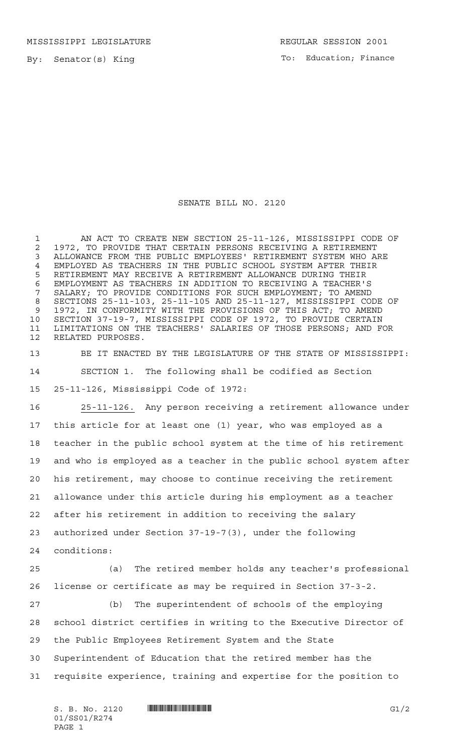MISSISSIPPI LEGISLATURE **REGULAR SESSION 2001** 

By: Senator(s) King

To: Education; Finance

## SENATE BILL NO. 2120

 AN ACT TO CREATE NEW SECTION 25-11-126, MISSISSIPPI CODE OF 2 1972, TO PROVIDE THAT CERTAIN PERSONS RECEIVING A RETIREMENT<br>3 ALLOWANCE FROM THE PUBLIC EMPLOYEES' RETIREMENT SYSTEM WHO AI ALLOWANCE FROM THE PUBLIC EMPLOYEES' RETIREMENT SYSTEM WHO ARE EMPLOYED AS TEACHERS IN THE PUBLIC SCHOOL SYSTEM AFTER THEIR RETIREMENT MAY RECEIVE A RETIREMENT ALLOWANCE DURING THEIR EMPLOYMENT AS TEACHERS IN ADDITION TO RECEIVING A TEACHER'S SALARY; TO PROVIDE CONDITIONS FOR SUCH EMPLOYMENT; TO AMEND SECTIONS 25-11-103, 25-11-105 AND 25-11-127, MISSISSIPPI CODE OF 1972, IN CONFORMITY WITH THE PROVISIONS OF THIS ACT; TO AMEND SECTION 37-19-7, MISSISSIPPI CODE OF 1972, TO PROVIDE CERTAIN LIMITATIONS ON THE TEACHERS' SALARIES OF THOSE PERSONS; AND FOR RELATED PURPOSES.

 BE IT ENACTED BY THE LEGISLATURE OF THE STATE OF MISSISSIPPI: SECTION 1. The following shall be codified as Section 25-11-126, Mississippi Code of 1972:

 25-11-126. Any person receiving a retirement allowance under this article for at least one (1) year, who was employed as a teacher in the public school system at the time of his retirement and who is employed as a teacher in the public school system after his retirement, may choose to continue receiving the retirement allowance under this article during his employment as a teacher after his retirement in addition to receiving the salary authorized under Section 37-19-7(3), under the following conditions:

 (a) The retired member holds any teacher's professional license or certificate as may be required in Section 37-3-2.

 (b) The superintendent of schools of the employing school district certifies in writing to the Executive Director of the Public Employees Retirement System and the State Superintendent of Education that the retired member has the requisite experience, training and expertise for the position to

 $S. B. No. 2120$   $\blacksquare$   $\blacksquare$   $\blacksquare$   $\blacksquare$   $\blacksquare$   $\blacksquare$   $\blacksquare$   $\blacksquare$   $\blacksquare$   $\blacksquare$   $\blacksquare$   $\blacksquare$   $\blacksquare$   $\blacksquare$   $\blacksquare$   $\blacksquare$   $\blacksquare$   $\blacksquare$   $\blacksquare$   $\blacksquare$   $\blacksquare$   $\blacksquare$   $\blacksquare$   $\blacksquare$   $\blacksquare$   $\blacksquare$   $\blacksquare$   $\blacksquare$   $\blacksquare$   $\blacks$ 01/SS01/R274 PAGE 1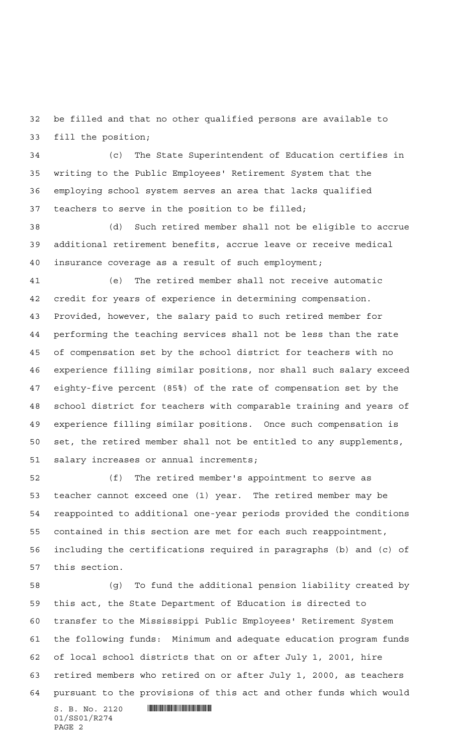be filled and that no other qualified persons are available to fill the position;

 (c) The State Superintendent of Education certifies in writing to the Public Employees' Retirement System that the employing school system serves an area that lacks qualified teachers to serve in the position to be filled;

 (d) Such retired member shall not be eligible to accrue additional retirement benefits, accrue leave or receive medical insurance coverage as a result of such employment;

 (e) The retired member shall not receive automatic credit for years of experience in determining compensation. Provided, however, the salary paid to such retired member for performing the teaching services shall not be less than the rate of compensation set by the school district for teachers with no experience filling similar positions, nor shall such salary exceed eighty-five percent (85%) of the rate of compensation set by the school district for teachers with comparable training and years of experience filling similar positions. Once such compensation is set, the retired member shall not be entitled to any supplements, salary increases or annual increments;

 (f) The retired member's appointment to serve as teacher cannot exceed one (1) year. The retired member may be reappointed to additional one-year periods provided the conditions contained in this section are met for each such reappointment, including the certifications required in paragraphs (b) and (c) of this section.

 $S. B. No. 2120$  .  $\blacksquare$  (g) To fund the additional pension liability created by this act, the State Department of Education is directed to transfer to the Mississippi Public Employees' Retirement System the following funds: Minimum and adequate education program funds of local school districts that on or after July 1, 2001, hire retired members who retired on or after July 1, 2000, as teachers pursuant to the provisions of this act and other funds which would

```
01/SS01/R274
PAGE 2
```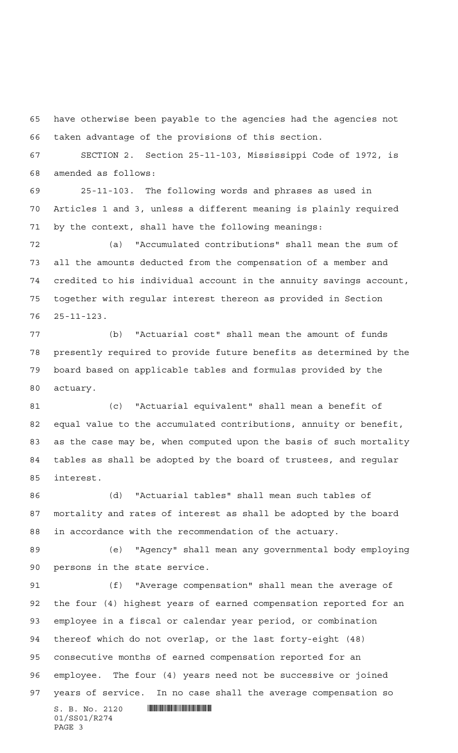have otherwise been payable to the agencies had the agencies not taken advantage of the provisions of this section.

 SECTION 2. Section 25-11-103, Mississippi Code of 1972, is amended as follows:

 25-11-103. The following words and phrases as used in Articles 1 and 3, unless a different meaning is plainly required by the context, shall have the following meanings:

 (a) "Accumulated contributions" shall mean the sum of all the amounts deducted from the compensation of a member and credited to his individual account in the annuity savings account, together with regular interest thereon as provided in Section 25-11-123.

 (b) "Actuarial cost" shall mean the amount of funds presently required to provide future benefits as determined by the board based on applicable tables and formulas provided by the actuary.

 (c) "Actuarial equivalent" shall mean a benefit of equal value to the accumulated contributions, annuity or benefit, as the case may be, when computed upon the basis of such mortality tables as shall be adopted by the board of trustees, and regular interest.

 (d) "Actuarial tables" shall mean such tables of mortality and rates of interest as shall be adopted by the board in accordance with the recommendation of the actuary.

 (e) "Agency" shall mean any governmental body employing persons in the state service.

 (f) "Average compensation" shall mean the average of the four (4) highest years of earned compensation reported for an employee in a fiscal or calendar year period, or combination thereof which do not overlap, or the last forty-eight (48) consecutive months of earned compensation reported for an employee. The four (4) years need not be successive or joined years of service. In no case shall the average compensation so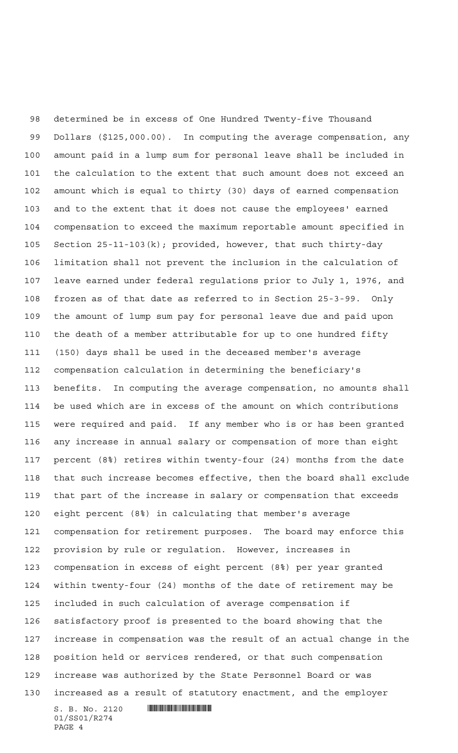$S. B. No. 2120$  . And the set of  $\blacksquare$  determined be in excess of One Hundred Twenty-five Thousand Dollars (\$125,000.00). In computing the average compensation, any amount paid in a lump sum for personal leave shall be included in the calculation to the extent that such amount does not exceed an amount which is equal to thirty (30) days of earned compensation and to the extent that it does not cause the employees' earned compensation to exceed the maximum reportable amount specified in Section 25-11-103(k); provided, however, that such thirty-day limitation shall not prevent the inclusion in the calculation of leave earned under federal regulations prior to July 1, 1976, and frozen as of that date as referred to in Section 25-3-99. Only the amount of lump sum pay for personal leave due and paid upon the death of a member attributable for up to one hundred fifty (150) days shall be used in the deceased member's average compensation calculation in determining the beneficiary's benefits. In computing the average compensation, no amounts shall be used which are in excess of the amount on which contributions were required and paid. If any member who is or has been granted any increase in annual salary or compensation of more than eight percent (8%) retires within twenty-four (24) months from the date that such increase becomes effective, then the board shall exclude that part of the increase in salary or compensation that exceeds eight percent (8%) in calculating that member's average compensation for retirement purposes. The board may enforce this provision by rule or regulation. However, increases in compensation in excess of eight percent (8%) per year granted within twenty-four (24) months of the date of retirement may be included in such calculation of average compensation if satisfactory proof is presented to the board showing that the increase in compensation was the result of an actual change in the position held or services rendered, or that such compensation increase was authorized by the State Personnel Board or was increased as a result of statutory enactment, and the employer

01/SS01/R274 PAGE 4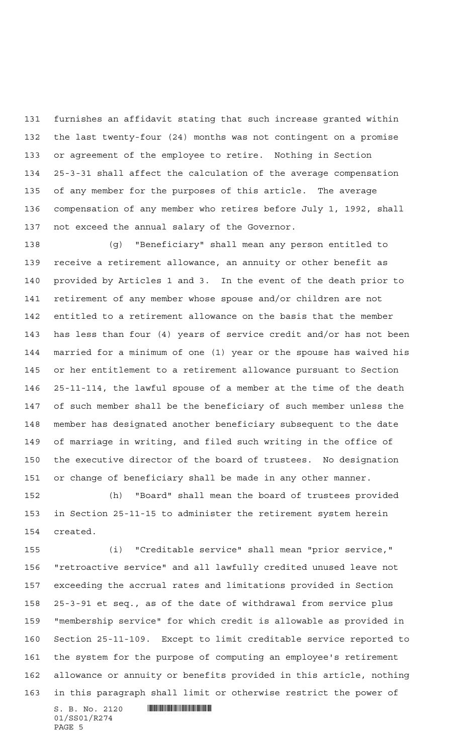furnishes an affidavit stating that such increase granted within the last twenty-four (24) months was not contingent on a promise or agreement of the employee to retire. Nothing in Section 25-3-31 shall affect the calculation of the average compensation of any member for the purposes of this article. The average compensation of any member who retires before July 1, 1992, shall not exceed the annual salary of the Governor.

 (g) "Beneficiary" shall mean any person entitled to receive a retirement allowance, an annuity or other benefit as provided by Articles 1 and 3. In the event of the death prior to retirement of any member whose spouse and/or children are not entitled to a retirement allowance on the basis that the member has less than four (4) years of service credit and/or has not been married for a minimum of one (1) year or the spouse has waived his or her entitlement to a retirement allowance pursuant to Section 25-11-114, the lawful spouse of a member at the time of the death of such member shall be the beneficiary of such member unless the member has designated another beneficiary subsequent to the date of marriage in writing, and filed such writing in the office of the executive director of the board of trustees. No designation or change of beneficiary shall be made in any other manner.

 (h) "Board" shall mean the board of trustees provided in Section 25-11-15 to administer the retirement system herein created.

 (i) "Creditable service" shall mean "prior service," "retroactive service" and all lawfully credited unused leave not exceeding the accrual rates and limitations provided in Section 25-3-91 et seq., as of the date of withdrawal from service plus "membership service" for which credit is allowable as provided in Section 25-11-109. Except to limit creditable service reported to the system for the purpose of computing an employee's retirement allowance or annuity or benefits provided in this article, nothing in this paragraph shall limit or otherwise restrict the power of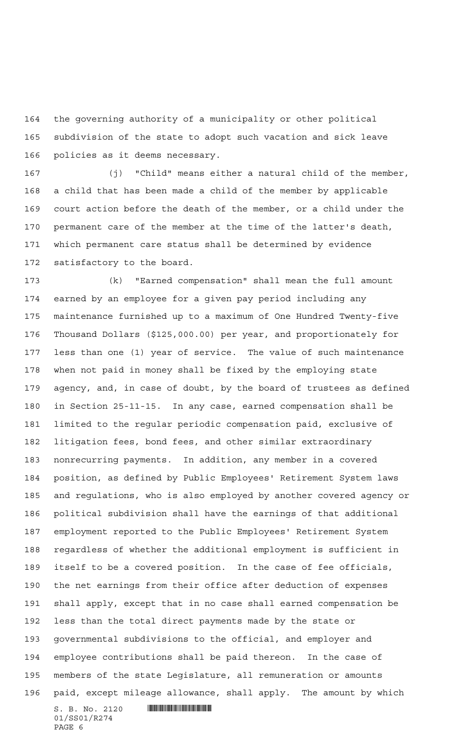the governing authority of a municipality or other political subdivision of the state to adopt such vacation and sick leave policies as it deems necessary.

 (j) "Child" means either a natural child of the member, a child that has been made a child of the member by applicable court action before the death of the member, or a child under the permanent care of the member at the time of the latter's death, which permanent care status shall be determined by evidence satisfactory to the board.

 $S. B. No. 2120$  .  $\blacksquare$  (k) "Earned compensation" shall mean the full amount earned by an employee for a given pay period including any maintenance furnished up to a maximum of One Hundred Twenty-five Thousand Dollars (\$125,000.00) per year, and proportionately for less than one (1) year of service. The value of such maintenance when not paid in money shall be fixed by the employing state agency, and, in case of doubt, by the board of trustees as defined in Section 25-11-15. In any case, earned compensation shall be limited to the regular periodic compensation paid, exclusive of litigation fees, bond fees, and other similar extraordinary nonrecurring payments. In addition, any member in a covered position, as defined by Public Employees' Retirement System laws and regulations, who is also employed by another covered agency or political subdivision shall have the earnings of that additional employment reported to the Public Employees' Retirement System regardless of whether the additional employment is sufficient in itself to be a covered position. In the case of fee officials, the net earnings from their office after deduction of expenses shall apply, except that in no case shall earned compensation be less than the total direct payments made by the state or governmental subdivisions to the official, and employer and employee contributions shall be paid thereon. In the case of members of the state Legislature, all remuneration or amounts paid, except mileage allowance, shall apply. The amount by which

01/SS01/R274 PAGE 6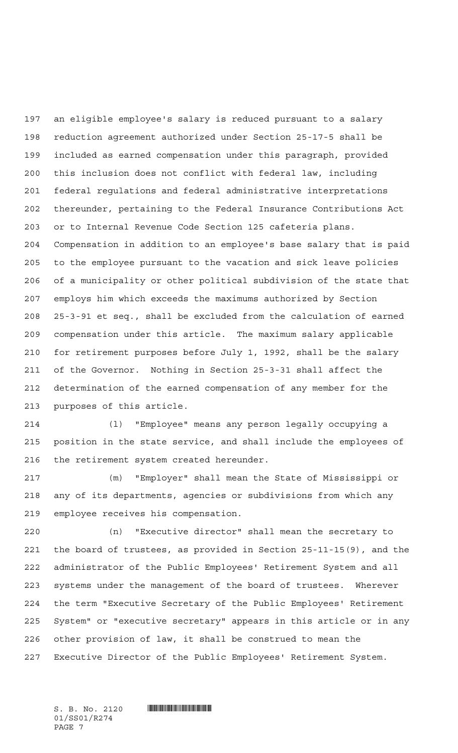an eligible employee's salary is reduced pursuant to a salary reduction agreement authorized under Section 25-17-5 shall be included as earned compensation under this paragraph, provided this inclusion does not conflict with federal law, including federal regulations and federal administrative interpretations thereunder, pertaining to the Federal Insurance Contributions Act or to Internal Revenue Code Section 125 cafeteria plans. Compensation in addition to an employee's base salary that is paid to the employee pursuant to the vacation and sick leave policies of a municipality or other political subdivision of the state that employs him which exceeds the maximums authorized by Section 25-3-91 et seq., shall be excluded from the calculation of earned compensation under this article. The maximum salary applicable for retirement purposes before July 1, 1992, shall be the salary of the Governor. Nothing in Section 25-3-31 shall affect the determination of the earned compensation of any member for the purposes of this article.

 (l) "Employee" means any person legally occupying a position in the state service, and shall include the employees of the retirement system created hereunder.

 (m) "Employer" shall mean the State of Mississippi or any of its departments, agencies or subdivisions from which any employee receives his compensation.

 (n) "Executive director" shall mean the secretary to the board of trustees, as provided in Section 25-11-15(9), and the administrator of the Public Employees' Retirement System and all systems under the management of the board of trustees. Wherever the term "Executive Secretary of the Public Employees' Retirement System" or "executive secretary" appears in this article or in any other provision of law, it shall be construed to mean the Executive Director of the Public Employees' Retirement System.

01/SS01/R274 PAGE 7

 $S. B. No. 2120$  .  $\blacksquare$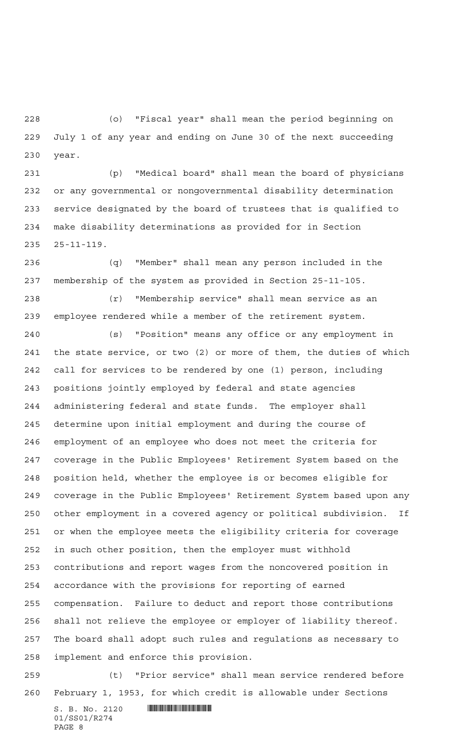(o) "Fiscal year" shall mean the period beginning on July 1 of any year and ending on June 30 of the next succeeding year.

 (p) "Medical board" shall mean the board of physicians or any governmental or nongovernmental disability determination service designated by the board of trustees that is qualified to make disability determinations as provided for in Section 25-11-119.

 (q) "Member" shall mean any person included in the membership of the system as provided in Section 25-11-105.

 (r) "Membership service" shall mean service as an employee rendered while a member of the retirement system.

 (s) "Position" means any office or any employment in the state service, or two (2) or more of them, the duties of which call for services to be rendered by one (1) person, including positions jointly employed by federal and state agencies administering federal and state funds. The employer shall determine upon initial employment and during the course of employment of an employee who does not meet the criteria for coverage in the Public Employees' Retirement System based on the position held, whether the employee is or becomes eligible for coverage in the Public Employees' Retirement System based upon any other employment in a covered agency or political subdivision. If or when the employee meets the eligibility criteria for coverage in such other position, then the employer must withhold contributions and report wages from the noncovered position in accordance with the provisions for reporting of earned compensation. Failure to deduct and report those contributions shall not relieve the employee or employer of liability thereof. The board shall adopt such rules and regulations as necessary to implement and enforce this provision.

 (t) "Prior service" shall mean service rendered before February 1, 1953, for which credit is allowable under Sections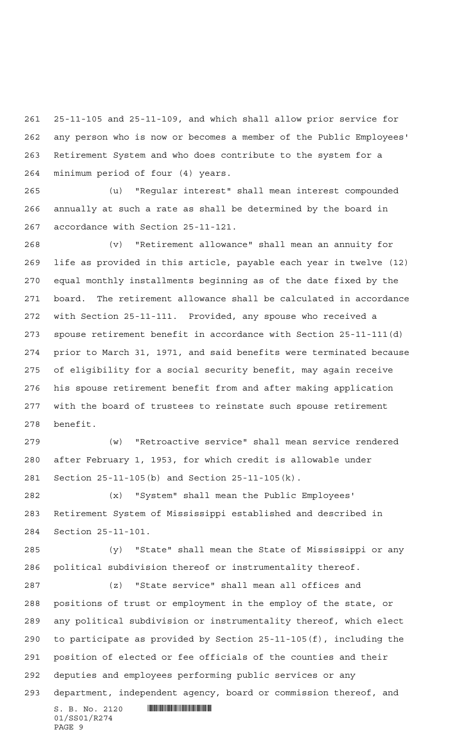25-11-105 and 25-11-109, and which shall allow prior service for any person who is now or becomes a member of the Public Employees' Retirement System and who does contribute to the system for a minimum period of four (4) years.

 (u) "Regular interest" shall mean interest compounded annually at such a rate as shall be determined by the board in accordance with Section 25-11-121.

 (v) "Retirement allowance" shall mean an annuity for life as provided in this article, payable each year in twelve (12) equal monthly installments beginning as of the date fixed by the board. The retirement allowance shall be calculated in accordance with Section 25-11-111. Provided, any spouse who received a spouse retirement benefit in accordance with Section 25-11-111(d) prior to March 31, 1971, and said benefits were terminated because of eligibility for a social security benefit, may again receive his spouse retirement benefit from and after making application with the board of trustees to reinstate such spouse retirement benefit.

 (w) "Retroactive service" shall mean service rendered after February 1, 1953, for which credit is allowable under Section 25-11-105(b) and Section 25-11-105(k).

 (x) "System" shall mean the Public Employees' Retirement System of Mississippi established and described in Section 25-11-101.

 (y) "State" shall mean the State of Mississippi or any political subdivision thereof or instrumentality thereof.

 (z) "State service" shall mean all offices and positions of trust or employment in the employ of the state, or any political subdivision or instrumentality thereof, which elect to participate as provided by Section 25-11-105(f), including the position of elected or fee officials of the counties and their deputies and employees performing public services or any department, independent agency, board or commission thereof, and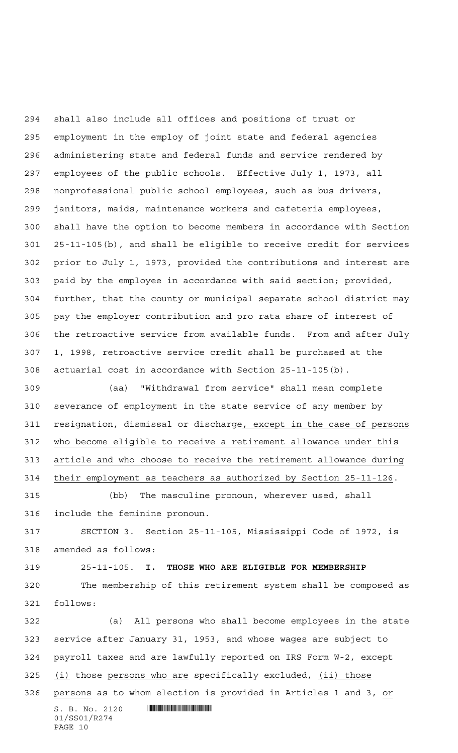shall also include all offices and positions of trust or employment in the employ of joint state and federal agencies administering state and federal funds and service rendered by employees of the public schools. Effective July 1, 1973, all nonprofessional public school employees, such as bus drivers, janitors, maids, maintenance workers and cafeteria employees, shall have the option to become members in accordance with Section 25-11-105(b), and shall be eligible to receive credit for services prior to July 1, 1973, provided the contributions and interest are paid by the employee in accordance with said section; provided, further, that the county or municipal separate school district may pay the employer contribution and pro rata share of interest of the retroactive service from available funds. From and after July 1, 1998, retroactive service credit shall be purchased at the actuarial cost in accordance with Section 25-11-105(b).

 (aa) "Withdrawal from service" shall mean complete severance of employment in the state service of any member by resignation, dismissal or discharge, except in the case of persons who become eligible to receive a retirement allowance under this article and who choose to receive the retirement allowance during their employment as teachers as authorized by Section 25-11-126.

 (bb) The masculine pronoun, wherever used, shall include the feminine pronoun.

 SECTION 3. Section 25-11-105, Mississippi Code of 1972, is amended as follows:

25-11-105. **I. THOSE WHO ARE ELIGIBLE FOR MEMBERSHIP**

PAGE 10

 The membership of this retirement system shall be composed as follows:

 $S. B. No. 2120$  .  $\blacksquare$ 01/SS01/R274 (a) All persons who shall become employees in the state service after January 31, 1953, and whose wages are subject to payroll taxes and are lawfully reported on IRS Form W-2, except 325 (i) those persons who are specifically excluded, (ii) those persons as to whom election is provided in Articles 1 and 3, or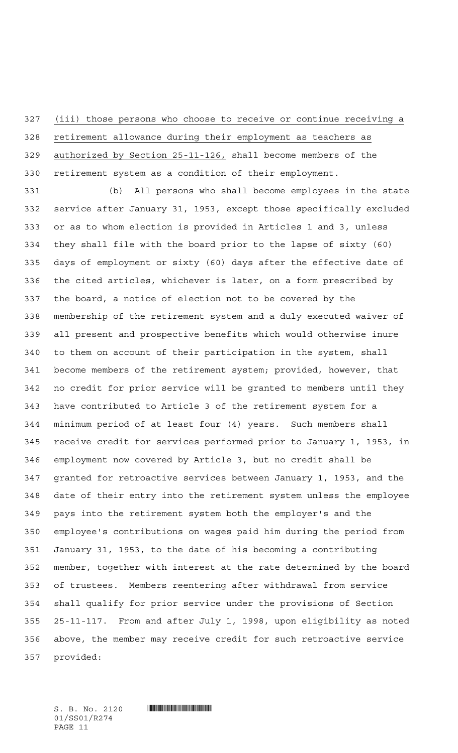(iii) those persons who choose to receive or continue receiving a

 retirement allowance during their employment as teachers as authorized by Section 25-11-126, shall become members of the retirement system as a condition of their employment.

 (b) All persons who shall become employees in the state service after January 31, 1953, except those specifically excluded or as to whom election is provided in Articles 1 and 3, unless they shall file with the board prior to the lapse of sixty (60) days of employment or sixty (60) days after the effective date of the cited articles, whichever is later, on a form prescribed by the board, a notice of election not to be covered by the membership of the retirement system and a duly executed waiver of all present and prospective benefits which would otherwise inure to them on account of their participation in the system, shall become members of the retirement system; provided, however, that no credit for prior service will be granted to members until they have contributed to Article 3 of the retirement system for a minimum period of at least four (4) years. Such members shall receive credit for services performed prior to January 1, 1953, in employment now covered by Article 3, but no credit shall be granted for retroactive services between January 1, 1953, and the date of their entry into the retirement system unless the employee pays into the retirement system both the employer's and the employee's contributions on wages paid him during the period from January 31, 1953, to the date of his becoming a contributing member, together with interest at the rate determined by the board of trustees. Members reentering after withdrawal from service shall qualify for prior service under the provisions of Section 25-11-117. From and after July 1, 1998, upon eligibility as noted above, the member may receive credit for such retroactive service provided:

01/SS01/R274 PAGE 11

 $S. B. No. 2120$  .  $\blacksquare$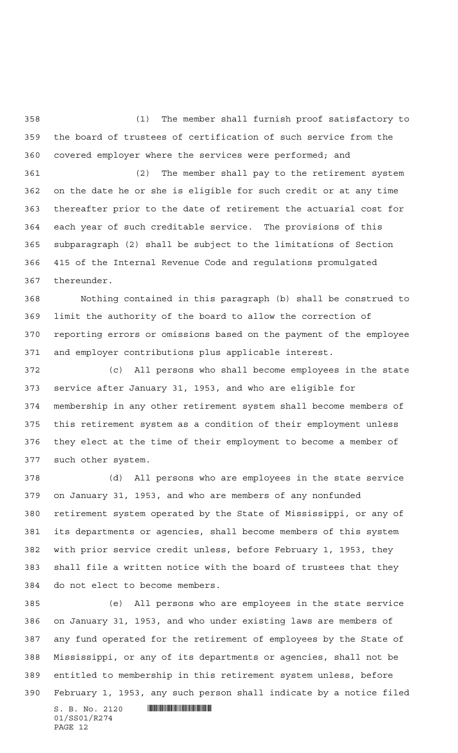(1) The member shall furnish proof satisfactory to the board of trustees of certification of such service from the covered employer where the services were performed; and

 (2) The member shall pay to the retirement system on the date he or she is eligible for such credit or at any time thereafter prior to the date of retirement the actuarial cost for each year of such creditable service. The provisions of this subparagraph (2) shall be subject to the limitations of Section 415 of the Internal Revenue Code and regulations promulgated thereunder.

 Nothing contained in this paragraph (b) shall be construed to limit the authority of the board to allow the correction of reporting errors or omissions based on the payment of the employee and employer contributions plus applicable interest.

 (c) All persons who shall become employees in the state service after January 31, 1953, and who are eligible for membership in any other retirement system shall become members of this retirement system as a condition of their employment unless they elect at the time of their employment to become a member of such other system.

 (d) All persons who are employees in the state service on January 31, 1953, and who are members of any nonfunded retirement system operated by the State of Mississippi, or any of its departments or agencies, shall become members of this system with prior service credit unless, before February 1, 1953, they shall file a written notice with the board of trustees that they do not elect to become members.

 (e) All persons who are employees in the state service on January 31, 1953, and who under existing laws are members of any fund operated for the retirement of employees by the State of Mississippi, or any of its departments or agencies, shall not be entitled to membership in this retirement system unless, before February 1, 1953, any such person shall indicate by a notice filed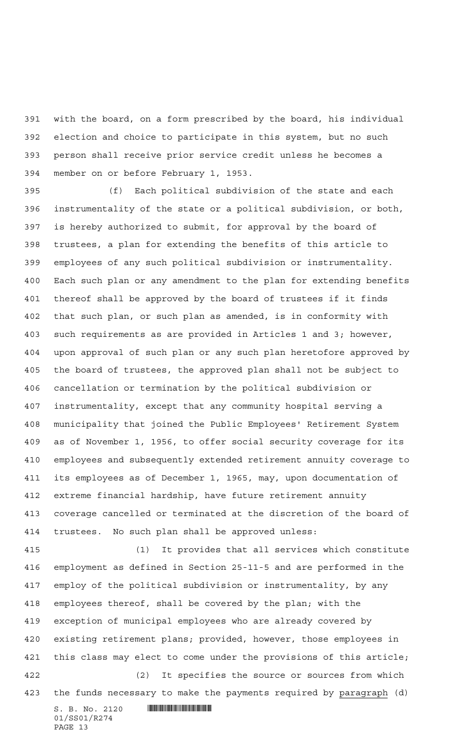with the board, on a form prescribed by the board, his individual election and choice to participate in this system, but no such person shall receive prior service credit unless he becomes a member on or before February 1, 1953.

 (f) Each political subdivision of the state and each instrumentality of the state or a political subdivision, or both, is hereby authorized to submit, for approval by the board of trustees, a plan for extending the benefits of this article to employees of any such political subdivision or instrumentality. Each such plan or any amendment to the plan for extending benefits thereof shall be approved by the board of trustees if it finds that such plan, or such plan as amended, is in conformity with such requirements as are provided in Articles 1 and 3; however, upon approval of such plan or any such plan heretofore approved by the board of trustees, the approved plan shall not be subject to cancellation or termination by the political subdivision or instrumentality, except that any community hospital serving a municipality that joined the Public Employees' Retirement System as of November 1, 1956, to offer social security coverage for its employees and subsequently extended retirement annuity coverage to its employees as of December 1, 1965, may, upon documentation of extreme financial hardship, have future retirement annuity coverage cancelled or terminated at the discretion of the board of trustees. No such plan shall be approved unless:

 (1) It provides that all services which constitute employment as defined in Section 25-11-5 and are performed in the employ of the political subdivision or instrumentality, by any employees thereof, shall be covered by the plan; with the exception of municipal employees who are already covered by existing retirement plans; provided, however, those employees in this class may elect to come under the provisions of this article; (2) It specifies the source or sources from which

the funds necessary to make the payments required by paragraph (d)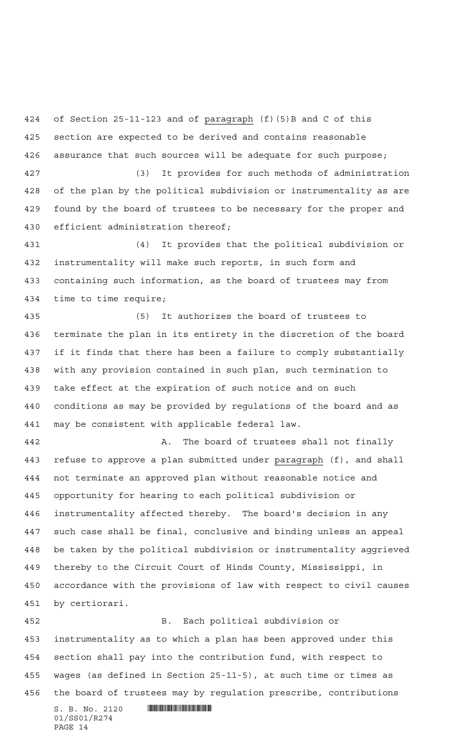of Section 25-11-123 and of paragraph (f)(5)B and C of this section are expected to be derived and contains reasonable assurance that such sources will be adequate for such purpose;

 (3) It provides for such methods of administration of the plan by the political subdivision or instrumentality as are found by the board of trustees to be necessary for the proper and efficient administration thereof;

 (4) It provides that the political subdivision or instrumentality will make such reports, in such form and containing such information, as the board of trustees may from time to time require;

 (5) It authorizes the board of trustees to terminate the plan in its entirety in the discretion of the board if it finds that there has been a failure to comply substantially with any provision contained in such plan, such termination to take effect at the expiration of such notice and on such conditions as may be provided by regulations of the board and as may be consistent with applicable federal law.

 A. The board of trustees shall not finally 443 refuse to approve a plan submitted under paragraph (f), and shall not terminate an approved plan without reasonable notice and opportunity for hearing to each political subdivision or instrumentality affected thereby. The board's decision in any such case shall be final, conclusive and binding unless an appeal be taken by the political subdivision or instrumentality aggrieved thereby to the Circuit Court of Hinds County, Mississippi, in accordance with the provisions of law with respect to civil causes by certiorari.

 B. Each political subdivision or instrumentality as to which a plan has been approved under this section shall pay into the contribution fund, with respect to wages (as defined in Section 25-11-5), at such time or times as the board of trustees may by regulation prescribe, contributions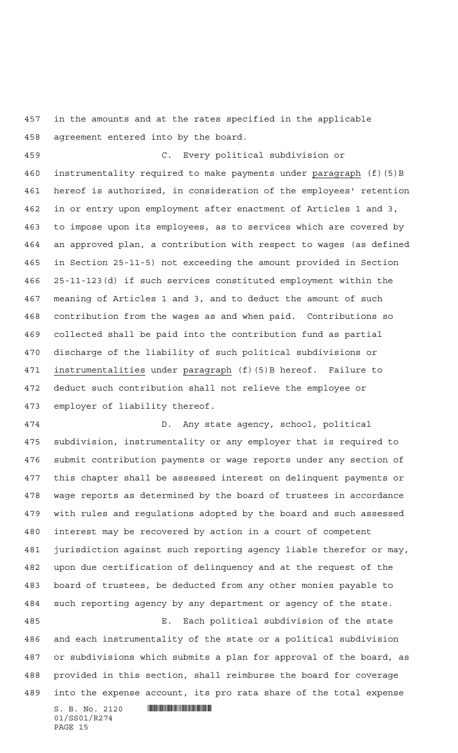in the amounts and at the rates specified in the applicable agreement entered into by the board.

 C. Every political subdivision or instrumentality required to make payments under paragraph (f)(5)B hereof is authorized, in consideration of the employees' retention in or entry upon employment after enactment of Articles 1 and 3, to impose upon its employees, as to services which are covered by an approved plan, a contribution with respect to wages (as defined in Section 25-11-5) not exceeding the amount provided in Section 25-11-123(d) if such services constituted employment within the meaning of Articles 1 and 3, and to deduct the amount of such contribution from the wages as and when paid. Contributions so collected shall be paid into the contribution fund as partial discharge of the liability of such political subdivisions or 471 instrumentalities under paragraph (f)(5)B hereof. Failure to deduct such contribution shall not relieve the employee or employer of liability thereof.

 D. Any state agency, school, political subdivision, instrumentality or any employer that is required to submit contribution payments or wage reports under any section of this chapter shall be assessed interest on delinquent payments or wage reports as determined by the board of trustees in accordance with rules and regulations adopted by the board and such assessed interest may be recovered by action in a court of competent jurisdiction against such reporting agency liable therefor or may, upon due certification of delinquency and at the request of the board of trustees, be deducted from any other monies payable to such reporting agency by any department or agency of the state. E. Each political subdivision of the state and each instrumentality of the state or a political subdivision

 or subdivisions which submits a plan for approval of the board, as provided in this section, shall reimburse the board for coverage into the expense account, its pro rata share of the total expense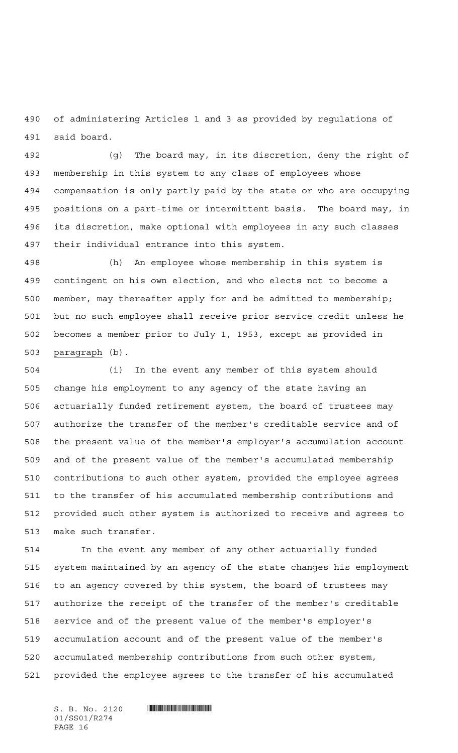of administering Articles 1 and 3 as provided by regulations of said board.

 (g) The board may, in its discretion, deny the right of membership in this system to any class of employees whose compensation is only partly paid by the state or who are occupying positions on a part-time or intermittent basis. The board may, in its discretion, make optional with employees in any such classes their individual entrance into this system.

 (h) An employee whose membership in this system is contingent on his own election, and who elects not to become a member, may thereafter apply for and be admitted to membership; but no such employee shall receive prior service credit unless he becomes a member prior to July 1, 1953, except as provided in paragraph (b).

 (i) In the event any member of this system should change his employment to any agency of the state having an actuarially funded retirement system, the board of trustees may authorize the transfer of the member's creditable service and of the present value of the member's employer's accumulation account and of the present value of the member's accumulated membership contributions to such other system, provided the employee agrees to the transfer of his accumulated membership contributions and provided such other system is authorized to receive and agrees to make such transfer.

 In the event any member of any other actuarially funded system maintained by an agency of the state changes his employment to an agency covered by this system, the board of trustees may authorize the receipt of the transfer of the member's creditable service and of the present value of the member's employer's accumulation account and of the present value of the member's accumulated membership contributions from such other system, provided the employee agrees to the transfer of his accumulated

01/SS01/R274 PAGE 16

 $S. B. No. 2120$  . And the set of  $\blacksquare$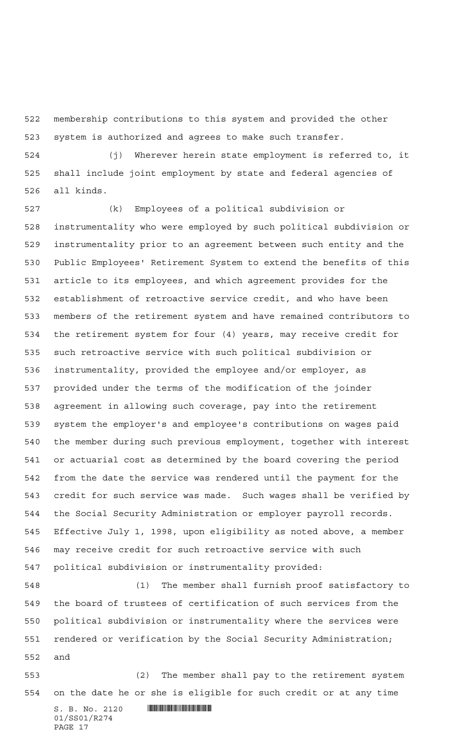membership contributions to this system and provided the other system is authorized and agrees to make such transfer.

 (j) Wherever herein state employment is referred to, it shall include joint employment by state and federal agencies of all kinds.

 (k) Employees of a political subdivision or instrumentality who were employed by such political subdivision or instrumentality prior to an agreement between such entity and the Public Employees' Retirement System to extend the benefits of this article to its employees, and which agreement provides for the establishment of retroactive service credit, and who have been members of the retirement system and have remained contributors to the retirement system for four (4) years, may receive credit for such retroactive service with such political subdivision or instrumentality, provided the employee and/or employer, as provided under the terms of the modification of the joinder agreement in allowing such coverage, pay into the retirement system the employer's and employee's contributions on wages paid the member during such previous employment, together with interest or actuarial cost as determined by the board covering the period from the date the service was rendered until the payment for the credit for such service was made. Such wages shall be verified by the Social Security Administration or employer payroll records. Effective July 1, 1998, upon eligibility as noted above, a member may receive credit for such retroactive service with such political subdivision or instrumentality provided:

 (1) The member shall furnish proof satisfactory to the board of trustees of certification of such services from the political subdivision or instrumentality where the services were rendered or verification by the Social Security Administration; and

 (2) The member shall pay to the retirement system on the date he or she is eligible for such credit or at any time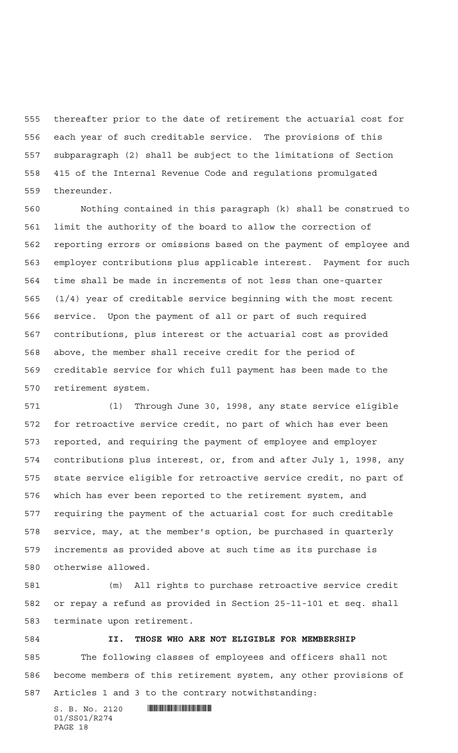thereafter prior to the date of retirement the actuarial cost for each year of such creditable service. The provisions of this subparagraph (2) shall be subject to the limitations of Section 415 of the Internal Revenue Code and regulations promulgated thereunder.

 Nothing contained in this paragraph (k) shall be construed to limit the authority of the board to allow the correction of reporting errors or omissions based on the payment of employee and employer contributions plus applicable interest. Payment for such time shall be made in increments of not less than one-quarter (1/4) year of creditable service beginning with the most recent service. Upon the payment of all or part of such required contributions, plus interest or the actuarial cost as provided above, the member shall receive credit for the period of creditable service for which full payment has been made to the retirement system.

 (l) Through June 30, 1998, any state service eligible for retroactive service credit, no part of which has ever been reported, and requiring the payment of employee and employer contributions plus interest, or, from and after July 1, 1998, any state service eligible for retroactive service credit, no part of which has ever been reported to the retirement system, and requiring the payment of the actuarial cost for such creditable service, may, at the member's option, be purchased in quarterly increments as provided above at such time as its purchase is otherwise allowed.

 (m) All rights to purchase retroactive service credit or repay a refund as provided in Section 25-11-101 et seq. shall terminate upon retirement.

 **II. THOSE WHO ARE NOT ELIGIBLE FOR MEMBERSHIP** The following classes of employees and officers shall not become members of this retirement system, any other provisions of Articles 1 and 3 to the contrary notwithstanding: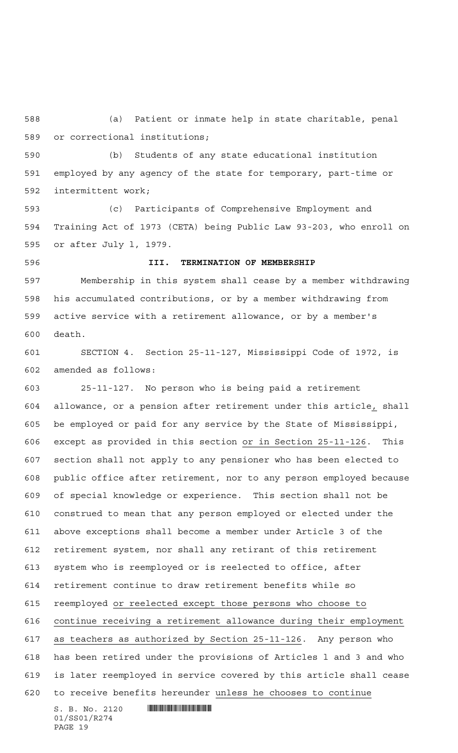(a) Patient or inmate help in state charitable, penal or correctional institutions;

 (b) Students of any state educational institution employed by any agency of the state for temporary, part-time or intermittent work;

 (c) Participants of Comprehensive Employment and Training Act of 1973 (CETA) being Public Law 93-203, who enroll on or after July l, 1979.

 **III. TERMINATION OF MEMBERSHIP** Membership in this system shall cease by a member withdrawing his accumulated contributions, or by a member withdrawing from active service with a retirement allowance, or by a member's death.

 SECTION 4. Section 25-11-127, Mississippi Code of 1972, is amended as follows:

 $S. B. No. 2120$  .  $\blacksquare$  25-11-127. No person who is being paid a retirement allowance, or a pension after retirement under this article, shall be employed or paid for any service by the State of Mississippi, except as provided in this section or in Section 25-11-126. This section shall not apply to any pensioner who has been elected to public office after retirement, nor to any person employed because of special knowledge or experience. This section shall not be construed to mean that any person employed or elected under the above exceptions shall become a member under Article 3 of the retirement system, nor shall any retirant of this retirement system who is reemployed or is reelected to office, after retirement continue to draw retirement benefits while so reemployed or reelected except those persons who choose to continue receiving a retirement allowance during their employment as teachers as authorized by Section 25-11-126. Any person who has been retired under the provisions of Articles l and 3 and who is later reemployed in service covered by this article shall cease to receive benefits hereunder unless he chooses to continue

01/SS01/R274 PAGE 19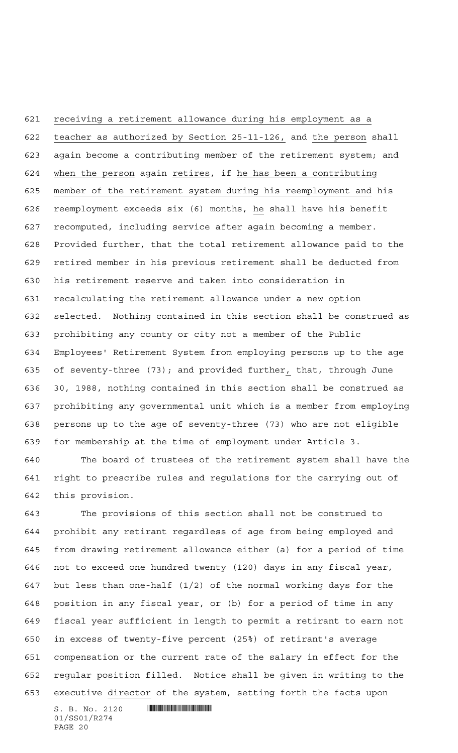receiving a retirement allowance during his employment as a teacher as authorized by Section 25-11-126, and the person shall again become a contributing member of the retirement system; and 624 when the person again retires, if he has been a contributing member of the retirement system during his reemployment and his reemployment exceeds six (6) months, he shall have his benefit recomputed, including service after again becoming a member. Provided further, that the total retirement allowance paid to the retired member in his previous retirement shall be deducted from his retirement reserve and taken into consideration in recalculating the retirement allowance under a new option selected. Nothing contained in this section shall be construed as prohibiting any county or city not a member of the Public Employees' Retirement System from employing persons up to the age of seventy-three (73); and provided further, that, through June 30, 1988, nothing contained in this section shall be construed as prohibiting any governmental unit which is a member from employing persons up to the age of seventy-three (73) who are not eligible for membership at the time of employment under Article 3.

 The board of trustees of the retirement system shall have the right to prescribe rules and regulations for the carrying out of this provision.

 The provisions of this section shall not be construed to prohibit any retirant regardless of age from being employed and from drawing retirement allowance either (a) for a period of time not to exceed one hundred twenty (120) days in any fiscal year, but less than one-half (1/2) of the normal working days for the position in any fiscal year, or (b) for a period of time in any fiscal year sufficient in length to permit a retirant to earn not in excess of twenty-five percent (25%) of retirant's average compensation or the current rate of the salary in effect for the regular position filled. Notice shall be given in writing to the executive director of the system, setting forth the facts upon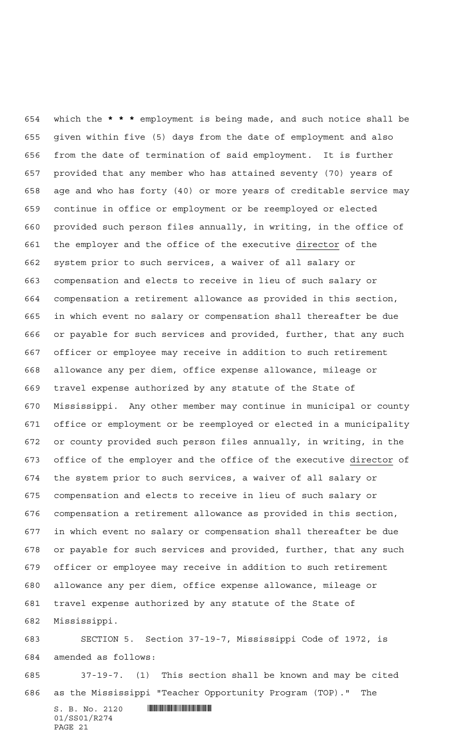which the **\*\*\*** employment is being made, and such notice shall be given within five (5) days from the date of employment and also from the date of termination of said employment. It is further provided that any member who has attained seventy (70) years of age and who has forty (40) or more years of creditable service may continue in office or employment or be reemployed or elected provided such person files annually, in writing, in the office of 661 the employer and the office of the executive director of the system prior to such services, a waiver of all salary or compensation and elects to receive in lieu of such salary or compensation a retirement allowance as provided in this section, in which event no salary or compensation shall thereafter be due or payable for such services and provided, further, that any such officer or employee may receive in addition to such retirement allowance any per diem, office expense allowance, mileage or travel expense authorized by any statute of the State of Mississippi. Any other member may continue in municipal or county office or employment or be reemployed or elected in a municipality or county provided such person files annually, in writing, in the office of the employer and the office of the executive director of the system prior to such services, a waiver of all salary or compensation and elects to receive in lieu of such salary or compensation a retirement allowance as provided in this section, in which event no salary or compensation shall thereafter be due or payable for such services and provided, further, that any such officer or employee may receive in addition to such retirement allowance any per diem, office expense allowance, mileage or travel expense authorized by any statute of the State of Mississippi.

 SECTION 5. Section 37-19-7, Mississippi Code of 1972, is amended as follows:

 37-19-7. (1) This section shall be known and may be cited as the Mississippi "Teacher Opportunity Program (TOP)." The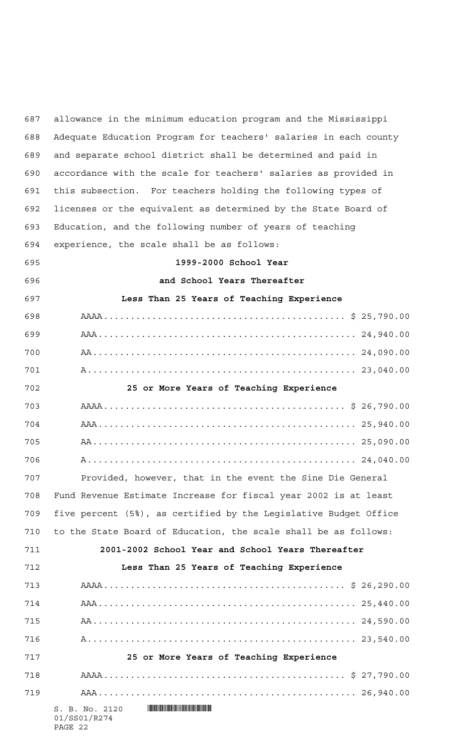$S. B. No. 2120$  .  $\blacksquare$ 01/SS01/R274 PAGE 22 allowance in the minimum education program and the Mississippi Adequate Education Program for teachers' salaries in each county and separate school district shall be determined and paid in accordance with the scale for teachers' salaries as provided in this subsection. For teachers holding the following types of licenses or the equivalent as determined by the State Board of Education, and the following number of years of teaching experience, the scale shall be as follows: **1999-2000 School Year and School Years Thereafter Less Than 25 Years of Teaching Experience** AAAA............................................. \$ 25,790.00 AAA................................................ 24,940.00 AA................................................. 24,090.00 A.................................................. 23,040.00 **25 or More Years of Teaching Experience** AAAA............................................. \$ 26,790.00 AAA................................................ 25,940.00 AA................................................. 25,090.00 A.................................................. 24,040.00 Provided, however, that in the event the Sine Die General Fund Revenue Estimate Increase for fiscal year 2002 is at least five percent (5%), as certified by the Legislative Budget Office to the State Board of Education, the scale shall be as follows: **2001-2002 School Year and School Years Thereafter Less Than 25 Years of Teaching Experience** AAAA............................................. \$ 26,290.00 AAA................................................ 25,440.00 AA................................................. 24,590.00 A.................................................. 23,540.00 **25 or More Years of Teaching Experience** AAAA............................................. \$ 27,790.00 AAA................................................ 26,940.00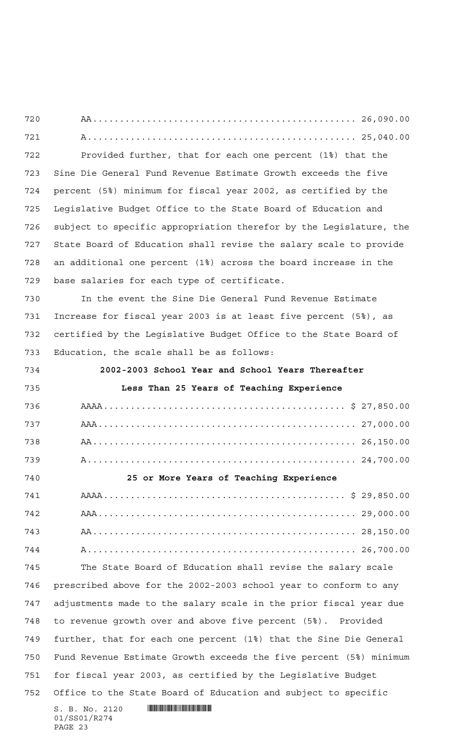$S. B. No. 2120$  .  $\blacksquare$ 01/SS01/R274 AA................................................. 26,090.00 A.................................................. 25,040.00 Provided further, that for each one percent (1%) that the Sine Die General Fund Revenue Estimate Growth exceeds the five percent (5%) minimum for fiscal year 2002, as certified by the Legislative Budget Office to the State Board of Education and subject to specific appropriation therefor by the Legislature, the State Board of Education shall revise the salary scale to provide an additional one percent (1%) across the board increase in the base salaries for each type of certificate. In the event the Sine Die General Fund Revenue Estimate Increase for fiscal year 2003 is at least five percent (5%), as certified by the Legislative Budget Office to the State Board of Education, the scale shall be as follows: **2002-2003 School Year and School Years Thereafter Less Than 25 Years of Teaching Experience** AAAA............................................. \$ 27,850.00 AAA................................................ 27,000.00 AA................................................. 26,150.00 A.................................................. 24,700.00 **25 or More Years of Teaching Experience** AAAA............................................. \$ 29,850.00 AAA................................................ 29,000.00 AA................................................. 28,150.00 A.................................................. 26,700.00 The State Board of Education shall revise the salary scale prescribed above for the 2002-2003 school year to conform to any adjustments made to the salary scale in the prior fiscal year due to revenue growth over and above five percent (5%). Provided further, that for each one percent (1%) that the Sine Die General Fund Revenue Estimate Growth exceeds the five percent (5%) minimum for fiscal year 2003, as certified by the Legislative Budget Office to the State Board of Education and subject to specific

PAGE 23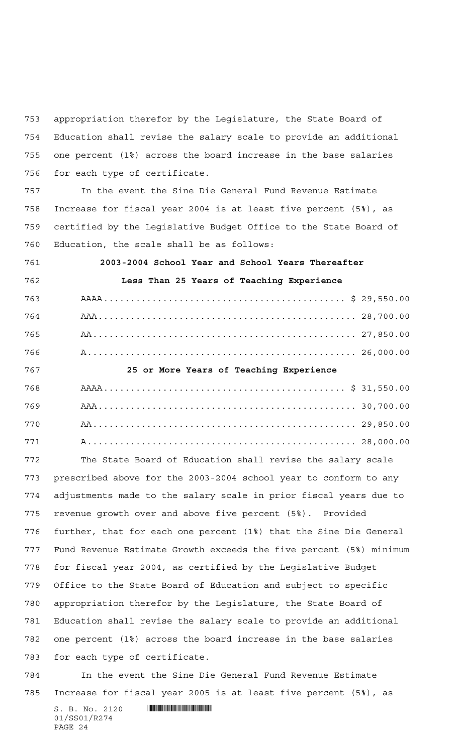appropriation therefor by the Legislature, the State Board of Education shall revise the salary scale to provide an additional one percent (1%) across the board increase in the base salaries for each type of certificate.

 In the event the Sine Die General Fund Revenue Estimate Increase for fiscal year 2004 is at least five percent (5%), as certified by the Legislative Budget Office to the State Board of Education, the scale shall be as follows:

 **2003-2004 School Year and School Years Thereafter Less Than 25 Years of Teaching Experience** AAAA............................................. \$ 29,550.00 AAA................................................ 28,700.00 AA................................................. 27,850.00 A.................................................. 26,000.00 **25 or More Years of Teaching Experience** AAAA............................................. \$ 31,550.00 AAA................................................ 30,700.00 AA................................................. 29,850.00 A.................................................. 28,000.00

 The State Board of Education shall revise the salary scale prescribed above for the 2003-2004 school year to conform to any adjustments made to the salary scale in prior fiscal years due to revenue growth over and above five percent (5%). Provided further, that for each one percent (1%) that the Sine Die General Fund Revenue Estimate Growth exceeds the five percent (5%) minimum for fiscal year 2004, as certified by the Legislative Budget Office to the State Board of Education and subject to specific appropriation therefor by the Legislature, the State Board of Education shall revise the salary scale to provide an additional one percent (1%) across the board increase in the base salaries for each type of certificate.

 In the event the Sine Die General Fund Revenue Estimate Increase for fiscal year 2005 is at least five percent (5%), as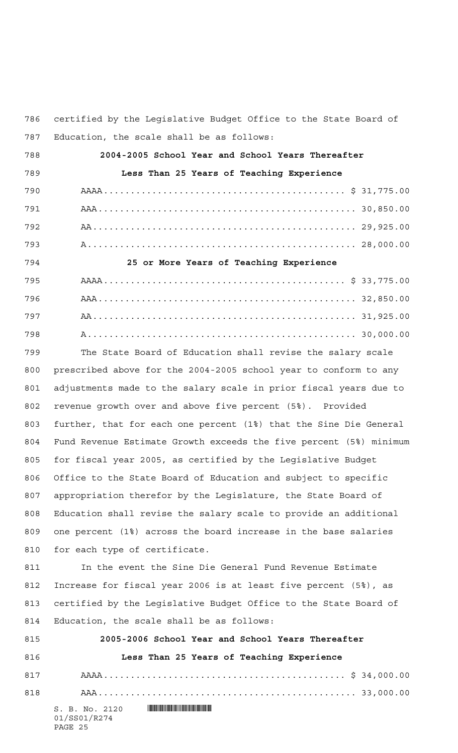certified by the Legislative Budget Office to the State Board of Education, the scale shall be as follows:

| 788 | 2004-2005 School Year and School Years Thereafter |
|-----|---------------------------------------------------|
| 789 | Less Than 25 Years of Teaching Experience         |
| 790 |                                                   |
| 791 |                                                   |
| 792 |                                                   |
| 793 |                                                   |
| 794 | 25 or More Years of Teaching Experience           |
| 795 |                                                   |
| 796 |                                                   |
| 797 |                                                   |
| 798 |                                                   |

 The State Board of Education shall revise the salary scale prescribed above for the 2004-2005 school year to conform to any adjustments made to the salary scale in prior fiscal years due to revenue growth over and above five percent (5%). Provided further, that for each one percent (1%) that the Sine Die General Fund Revenue Estimate Growth exceeds the five percent (5%) minimum for fiscal year 2005, as certified by the Legislative Budget Office to the State Board of Education and subject to specific appropriation therefor by the Legislature, the State Board of Education shall revise the salary scale to provide an additional one percent (1%) across the board increase in the base salaries for each type of certificate.

811 In the event the Sine Die General Fund Revenue Estimate Increase for fiscal year 2006 is at least five percent (5%), as certified by the Legislative Budget Office to the State Board of Education, the scale shall be as follows:

| 815 | 2005-2006 School Year and School Years Thereafter |
|-----|---------------------------------------------------|
| 816 | Less Than 25 Years of Teaching Experience         |
| 817 |                                                   |
| 818 |                                                   |
|     | S. B. No. 2120                                    |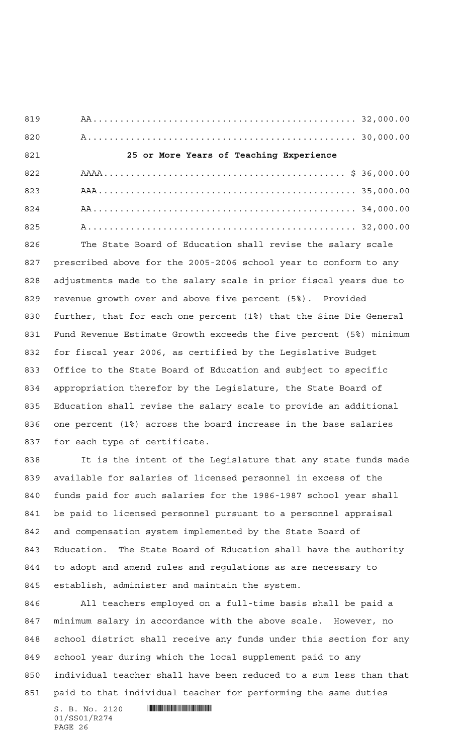AA................................................. 32,000.00 A.................................................. 30,000.00 **25 or More Years of Teaching Experience** AAAA............................................. \$ 36,000.00 AAA................................................ 35,000.00 AA................................................. 34,000.00 A.................................................. 32,000.00 The State Board of Education shall revise the salary scale

 prescribed above for the 2005-2006 school year to conform to any adjustments made to the salary scale in prior fiscal years due to revenue growth over and above five percent (5%). Provided further, that for each one percent (1%) that the Sine Die General Fund Revenue Estimate Growth exceeds the five percent (5%) minimum for fiscal year 2006, as certified by the Legislative Budget Office to the State Board of Education and subject to specific appropriation therefor by the Legislature, the State Board of Education shall revise the salary scale to provide an additional one percent (1%) across the board increase in the base salaries for each type of certificate.

 It is the intent of the Legislature that any state funds made available for salaries of licensed personnel in excess of the funds paid for such salaries for the 1986-1987 school year shall be paid to licensed personnel pursuant to a personnel appraisal and compensation system implemented by the State Board of Education. The State Board of Education shall have the authority to adopt and amend rules and regulations as are necessary to establish, administer and maintain the system.

 All teachers employed on a full-time basis shall be paid a minimum salary in accordance with the above scale. However, no school district shall receive any funds under this section for any school year during which the local supplement paid to any individual teacher shall have been reduced to a sum less than that paid to that individual teacher for performing the same duties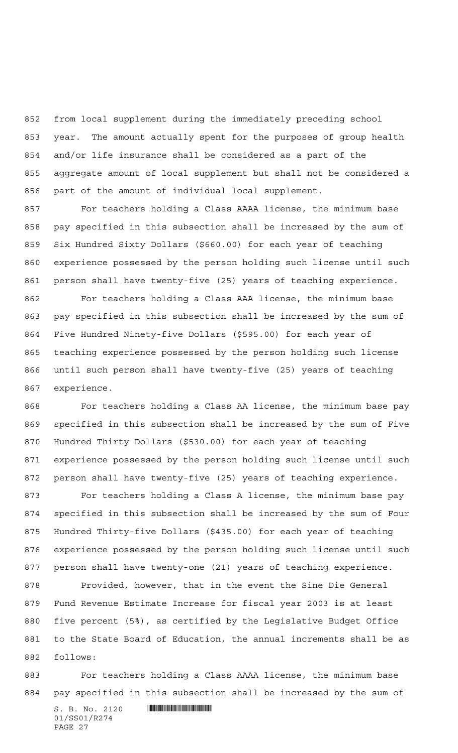from local supplement during the immediately preceding school year. The amount actually spent for the purposes of group health and/or life insurance shall be considered as a part of the aggregate amount of local supplement but shall not be considered a part of the amount of individual local supplement.

 For teachers holding a Class AAAA license, the minimum base pay specified in this subsection shall be increased by the sum of Six Hundred Sixty Dollars (\$660.00) for each year of teaching experience possessed by the person holding such license until such person shall have twenty-five (25) years of teaching experience.

 For teachers holding a Class AAA license, the minimum base pay specified in this subsection shall be increased by the sum of Five Hundred Ninety-five Dollars (\$595.00) for each year of teaching experience possessed by the person holding such license until such person shall have twenty-five (25) years of teaching experience.

 For teachers holding a Class AA license, the minimum base pay specified in this subsection shall be increased by the sum of Five Hundred Thirty Dollars (\$530.00) for each year of teaching experience possessed by the person holding such license until such person shall have twenty-five (25) years of teaching experience.

 For teachers holding a Class A license, the minimum base pay specified in this subsection shall be increased by the sum of Four Hundred Thirty-five Dollars (\$435.00) for each year of teaching experience possessed by the person holding such license until such person shall have twenty-one (21) years of teaching experience.

 Provided, however, that in the event the Sine Die General Fund Revenue Estimate Increase for fiscal year 2003 is at least five percent (5%), as certified by the Legislative Budget Office to the State Board of Education, the annual increments shall be as follows:

 For teachers holding a Class AAAA license, the minimum base pay specified in this subsection shall be increased by the sum of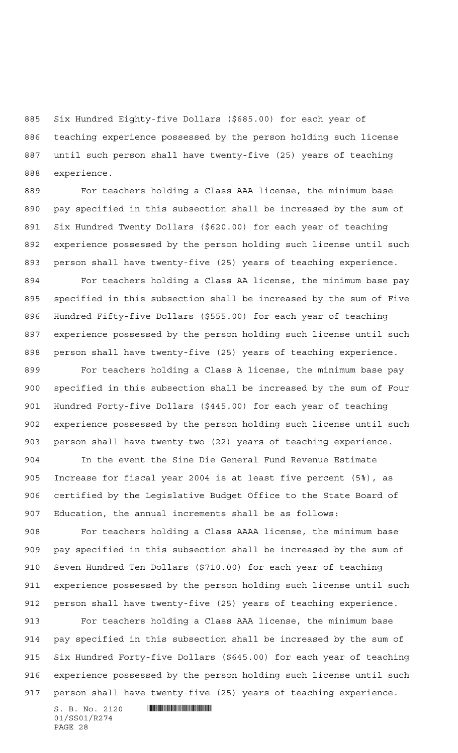Six Hundred Eighty-five Dollars (\$685.00) for each year of teaching experience possessed by the person holding such license until such person shall have twenty-five (25) years of teaching experience.

 For teachers holding a Class AAA license, the minimum base pay specified in this subsection shall be increased by the sum of Six Hundred Twenty Dollars (\$620.00) for each year of teaching experience possessed by the person holding such license until such person shall have twenty-five (25) years of teaching experience. For teachers holding a Class AA license, the minimum base pay specified in this subsection shall be increased by the sum of Five Hundred Fifty-five Dollars (\$555.00) for each year of teaching

 experience possessed by the person holding such license until such person shall have twenty-five (25) years of teaching experience.

 For teachers holding a Class A license, the minimum base pay specified in this subsection shall be increased by the sum of Four Hundred Forty-five Dollars (\$445.00) for each year of teaching experience possessed by the person holding such license until such person shall have twenty-two (22) years of teaching experience.

 In the event the Sine Die General Fund Revenue Estimate Increase for fiscal year 2004 is at least five percent (5%), as certified by the Legislative Budget Office to the State Board of Education, the annual increments shall be as follows:

 For teachers holding a Class AAAA license, the minimum base pay specified in this subsection shall be increased by the sum of Seven Hundred Ten Dollars (\$710.00) for each year of teaching experience possessed by the person holding such license until such person shall have twenty-five (25) years of teaching experience.

 For teachers holding a Class AAA license, the minimum base pay specified in this subsection shall be increased by the sum of Six Hundred Forty-five Dollars (\$645.00) for each year of teaching experience possessed by the person holding such license until such person shall have twenty-five (25) years of teaching experience.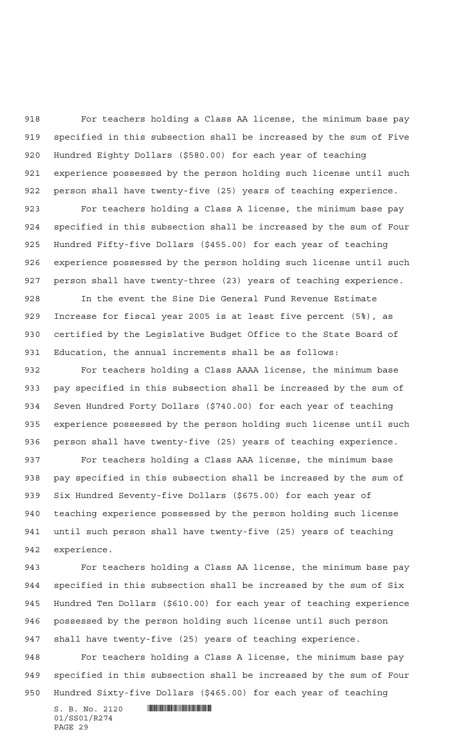For teachers holding a Class AA license, the minimum base pay specified in this subsection shall be increased by the sum of Five Hundred Eighty Dollars (\$580.00) for each year of teaching experience possessed by the person holding such license until such person shall have twenty-five (25) years of teaching experience.

 For teachers holding a Class A license, the minimum base pay specified in this subsection shall be increased by the sum of Four Hundred Fifty-five Dollars (\$455.00) for each year of teaching experience possessed by the person holding such license until such person shall have twenty-three (23) years of teaching experience.

 In the event the Sine Die General Fund Revenue Estimate Increase for fiscal year 2005 is at least five percent (5%), as certified by the Legislative Budget Office to the State Board of Education, the annual increments shall be as follows:

 For teachers holding a Class AAAA license, the minimum base pay specified in this subsection shall be increased by the sum of Seven Hundred Forty Dollars (\$740.00) for each year of teaching experience possessed by the person holding such license until such person shall have twenty-five (25) years of teaching experience.

 For teachers holding a Class AAA license, the minimum base pay specified in this subsection shall be increased by the sum of Six Hundred Seventy-five Dollars (\$675.00) for each year of teaching experience possessed by the person holding such license until such person shall have twenty-five (25) years of teaching experience.

 For teachers holding a Class AA license, the minimum base pay specified in this subsection shall be increased by the sum of Six Hundred Ten Dollars (\$610.00) for each year of teaching experience possessed by the person holding such license until such person shall have twenty-five (25) years of teaching experience.

 For teachers holding a Class A license, the minimum base pay specified in this subsection shall be increased by the sum of Four Hundred Sixty-five Dollars (\$465.00) for each year of teaching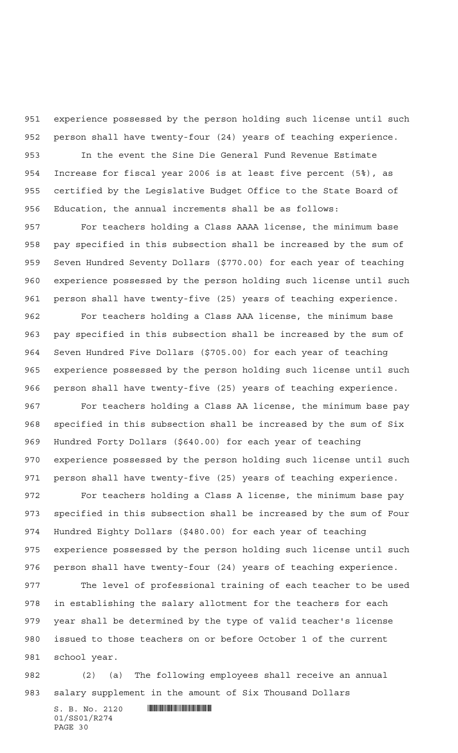experience possessed by the person holding such license until such person shall have twenty-four (24) years of teaching experience.

 In the event the Sine Die General Fund Revenue Estimate Increase for fiscal year 2006 is at least five percent (5%), as certified by the Legislative Budget Office to the State Board of Education, the annual increments shall be as follows:

 For teachers holding a Class AAAA license, the minimum base pay specified in this subsection shall be increased by the sum of Seven Hundred Seventy Dollars (\$770.00) for each year of teaching experience possessed by the person holding such license until such person shall have twenty-five (25) years of teaching experience.

 For teachers holding a Class AAA license, the minimum base pay specified in this subsection shall be increased by the sum of Seven Hundred Five Dollars (\$705.00) for each year of teaching experience possessed by the person holding such license until such person shall have twenty-five (25) years of teaching experience. For teachers holding a Class AA license, the minimum base pay specified in this subsection shall be increased by the sum of Six Hundred Forty Dollars (\$640.00) for each year of teaching

 experience possessed by the person holding such license until such person shall have twenty-five (25) years of teaching experience.

 For teachers holding a Class A license, the minimum base pay specified in this subsection shall be increased by the sum of Four Hundred Eighty Dollars (\$480.00) for each year of teaching experience possessed by the person holding such license until such person shall have twenty-four (24) years of teaching experience.

 The level of professional training of each teacher to be used in establishing the salary allotment for the teachers for each year shall be determined by the type of valid teacher's license issued to those teachers on or before October 1 of the current school year.

 (2) (a) The following employees shall receive an annual salary supplement in the amount of Six Thousand Dollars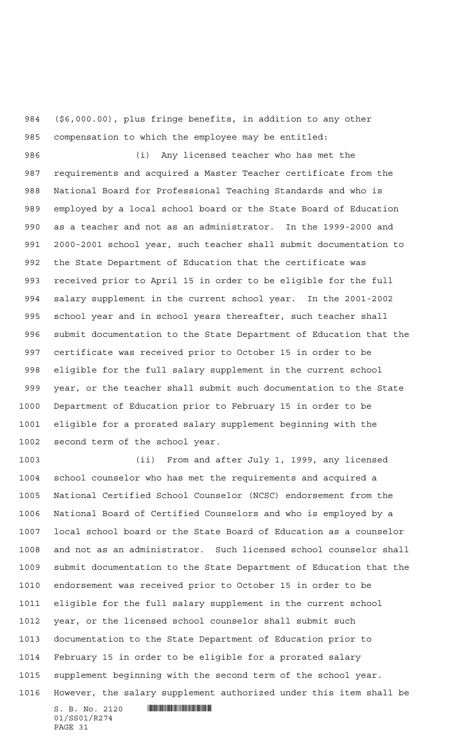(\$6,000.00), plus fringe benefits, in addition to any other compensation to which the employee may be entitled:

 (i) Any licensed teacher who has met the requirements and acquired a Master Teacher certificate from the National Board for Professional Teaching Standards and who is employed by a local school board or the State Board of Education as a teacher and not as an administrator. In the 1999-2000 and 2000-2001 school year, such teacher shall submit documentation to the State Department of Education that the certificate was received prior to April 15 in order to be eligible for the full salary supplement in the current school year. In the 2001-2002 school year and in school years thereafter, such teacher shall submit documentation to the State Department of Education that the certificate was received prior to October 15 in order to be eligible for the full salary supplement in the current school year, or the teacher shall submit such documentation to the State Department of Education prior to February 15 in order to be eligible for a prorated salary supplement beginning with the second term of the school year.

 (ii) From and after July 1, 1999, any licensed school counselor who has met the requirements and acquired a National Certified School Counselor (NCSC) endorsement from the National Board of Certified Counselors and who is employed by a local school board or the State Board of Education as a counselor and not as an administrator. Such licensed school counselor shall submit documentation to the State Department of Education that the endorsement was received prior to October 15 in order to be eligible for the full salary supplement in the current school year, or the licensed school counselor shall submit such documentation to the State Department of Education prior to February 15 in order to be eligible for a prorated salary supplement beginning with the second term of the school year. However, the salary supplement authorized under this item shall be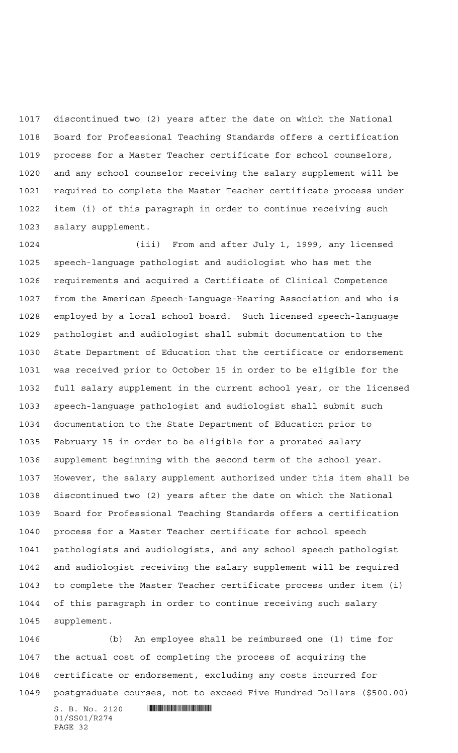discontinued two (2) years after the date on which the National Board for Professional Teaching Standards offers a certification process for a Master Teacher certificate for school counselors, and any school counselor receiving the salary supplement will be required to complete the Master Teacher certificate process under item (i) of this paragraph in order to continue receiving such salary supplement.

 (iii) From and after July 1, 1999, any licensed speech-language pathologist and audiologist who has met the requirements and acquired a Certificate of Clinical Competence from the American Speech-Language-Hearing Association and who is employed by a local school board. Such licensed speech-language pathologist and audiologist shall submit documentation to the State Department of Education that the certificate or endorsement was received prior to October 15 in order to be eligible for the full salary supplement in the current school year, or the licensed speech-language pathologist and audiologist shall submit such documentation to the State Department of Education prior to February 15 in order to be eligible for a prorated salary supplement beginning with the second term of the school year. However, the salary supplement authorized under this item shall be discontinued two (2) years after the date on which the National Board for Professional Teaching Standards offers a certification process for a Master Teacher certificate for school speech pathologists and audiologists, and any school speech pathologist and audiologist receiving the salary supplement will be required to complete the Master Teacher certificate process under item (i) of this paragraph in order to continue receiving such salary supplement.

 (b) An employee shall be reimbursed one (1) time for the actual cost of completing the process of acquiring the certificate or endorsement, excluding any costs incurred for postgraduate courses, not to exceed Five Hundred Dollars (\$500.00)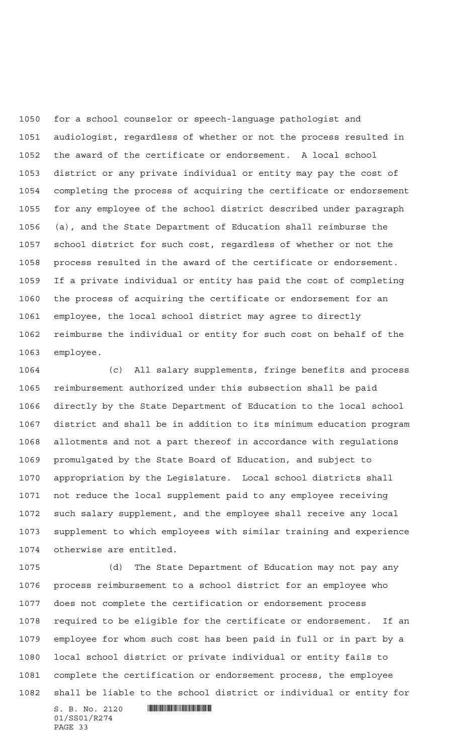for a school counselor or speech-language pathologist and audiologist, regardless of whether or not the process resulted in the award of the certificate or endorsement. A local school district or any private individual or entity may pay the cost of completing the process of acquiring the certificate or endorsement for any employee of the school district described under paragraph (a), and the State Department of Education shall reimburse the school district for such cost, regardless of whether or not the process resulted in the award of the certificate or endorsement. If a private individual or entity has paid the cost of completing the process of acquiring the certificate or endorsement for an employee, the local school district may agree to directly reimburse the individual or entity for such cost on behalf of the employee.

 (c) All salary supplements, fringe benefits and process reimbursement authorized under this subsection shall be paid directly by the State Department of Education to the local school district and shall be in addition to its minimum education program allotments and not a part thereof in accordance with regulations promulgated by the State Board of Education, and subject to appropriation by the Legislature. Local school districts shall not reduce the local supplement paid to any employee receiving such salary supplement, and the employee shall receive any local supplement to which employees with similar training and experience otherwise are entitled.

 (d) The State Department of Education may not pay any process reimbursement to a school district for an employee who does not complete the certification or endorsement process required to be eligible for the certificate or endorsement. If an employee for whom such cost has been paid in full or in part by a local school district or private individual or entity fails to complete the certification or endorsement process, the employee shall be liable to the school district or individual or entity for

 $S. B. No. 2120$  . And the set of  $\blacksquare$ 01/SS01/R274 PAGE 33